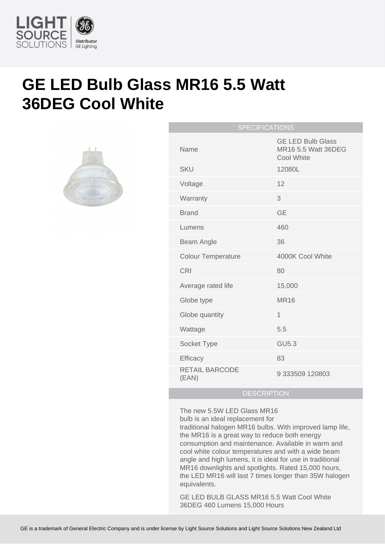

## **GE LED Bulb Glass MR16 5.5 Watt 36DEG Cool White**



| <b>SPECIFICATIONS</b> |                                |                                                               |
|-----------------------|--------------------------------|---------------------------------------------------------------|
|                       | Name                           | <b>GE LED Bulb Glass</b><br>MR16 5.5 Watt 36DEG<br>Cool White |
|                       | <b>SKU</b>                     | 12080L                                                        |
|                       | Voltage                        | 12                                                            |
|                       | Warranty                       | 3                                                             |
|                       | <b>Brand</b>                   | <b>GE</b>                                                     |
|                       | Lumens                         | 460                                                           |
|                       | Beam Angle                     | 36                                                            |
|                       | <b>Colour Temperature</b>      | 4000K Cool White                                              |
|                       | <b>CRI</b>                     | 80                                                            |
|                       | Average rated life             | 15,000                                                        |
|                       | Globe type                     | <b>MR16</b>                                                   |
|                       | Globe quantity                 | 1                                                             |
|                       | Wattage                        | 5.5                                                           |
|                       | Socket Type                    | <b>GU5.3</b>                                                  |
|                       | Efficacy                       | 83                                                            |
|                       | <b>RETAIL BARCODE</b><br>(EAN) | 9 333509 120803                                               |
|                       |                                |                                                               |

## **DESCRIPTION**

The new 5.5W LED Glass MR16 bulb is an ideal replacement for

traditional halogen MR16 bulbs. With improved lamp life, the MR16 is a great way to reduce both energy consumption and maintenance. Available in warm and cool white colour temperatures and with a wide beam angle and high lumens, it is ideal for use in traditional MR16 downlights and spotlights. Rated 15,000 hours, the LED MR16 will last 7 times longer than 35W halogen equivalents.

GE LED BULB GLASS MR16 5.5 Watt Cool White 36DEG 460 Lumens 15,000 Hours